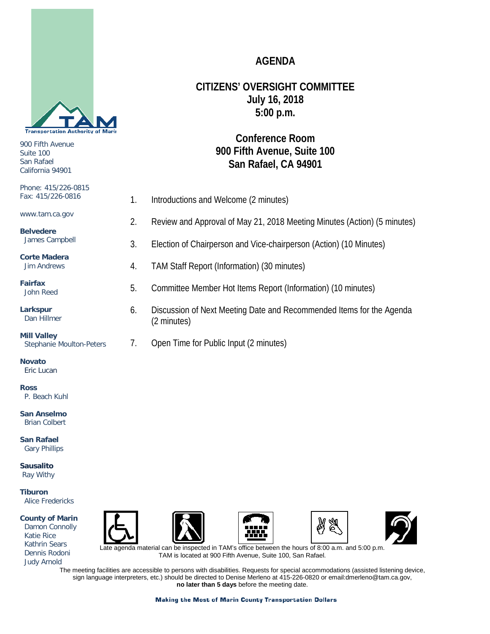

900 Fifth Avenue Suite 100 San Rafael California 94901

#### Phone: 415/226-0815 Fax: 415/226-0816 www.tam.ca.gov **Belvedere** James Campbell **Corte Madera** Jim Andrews **Fairfax** John Reed **Larkspur** Dan Hillmer **Mill Valley** Stephanie Moulton-Peters 1. Introductions and Welcome (2 minutes) 2. Review and Approval of May 21, 2018 Meeting Minutes (Action) (5 minutes) 3. Election of Chairperson and Vice-chairperson (Action) (10 Minutes) 4. TAM Staff Report (Information) (30 minutes) 5. Committee Member Hot Items Report (Information) (10 minutes) 6. Discussion of Next Meeting Date and Recommended Items for the Agenda (2 minutes) 7. Open Time for Public Input (2 minutes)

**AGENDA**

**CITIZENS' OVERSIGHT COMMITTEE July 16, 2018 5:00 p.m.**

> **Conference Room 900 Fifth Avenue, Suite 100 San Rafael, CA 94901**

**Novato** Eric Lucan

**Ross**

P. Beach Kuhl

**San Anselmo** Brian Colbert

**San Rafael** Gary Phillips

**Sausalito** Ray Withy

**Tiburon** Alice Fredericks

**County of Marin** Damon Connolly Katie Rice Kathrin Sears Dennis Rodoni Judy Arnold











agenda material can be inspected in TAM's office between the hours of 8:00 a.m. and 5:00 p.m. TAM is located at 900 Fifth Avenue, Suite 100, San Rafael.

The meeting facilities are accessible to persons with disabilities. Requests for special accommodations (assisted listening device, sign language interpreters, etc.) should be directed to Denise Merleno at 415-226-0820 or email:dmerleno@tam.ca.gov, **no later than 5 days** before the meeting date.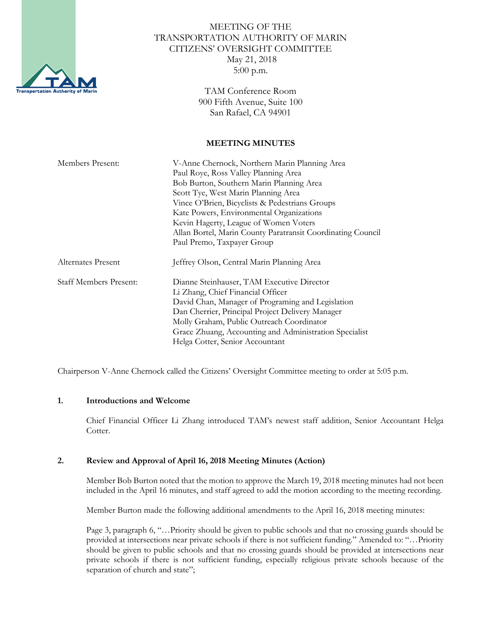

# MEETING OF THE TRANSPORTATION AUTHORITY OF MARIN CITIZENS' OVERSIGHT COMMITTEE May 21, 2018 5:00 p.m.

TAM Conference Room 900 Fifth Avenue, Suite 100 San Rafael, CA 94901

#### **MEETING MINUTES**

| Members Present:              | V-Anne Chernock, Northern Marin Planning Area               |
|-------------------------------|-------------------------------------------------------------|
|                               | Paul Roye, Ross Valley Planning Area                        |
|                               | Bob Burton, Southern Marin Planning Area                    |
|                               | Scott Tye, West Marin Planning Area                         |
|                               | Vince O'Brien, Bicyclists & Pedestrians Groups              |
|                               | Kate Powers, Environmental Organizations                    |
|                               | Kevin Hagerty, League of Women Voters                       |
|                               | Allan Bortel, Marin County Paratransit Coordinating Council |
|                               | Paul Premo, Taxpayer Group                                  |
| Alternates Present            | Jeffrey Olson, Central Marin Planning Area                  |
| <b>Staff Members Present:</b> | Dianne Steinhauser, TAM Executive Director                  |
|                               | Li Zhang, Chief Financial Officer                           |
|                               | David Chan, Manager of Programing and Legislation           |
|                               | Dan Cherrier, Principal Project Delivery Manager            |
|                               | Molly Graham, Public Outreach Coordinator                   |
|                               | Grace Zhuang, Accounting and Administration Specialist      |
|                               | Helga Cotter, Senior Accountant                             |

Chairperson V-Anne Chernock called the Citizens' Oversight Committee meeting to order at 5:05 p.m.

## **1. Introductions and Welcome**

Chief Financial Officer Li Zhang introduced TAM's newest staff addition, Senior Accountant Helga Cotter.

## **2. Review and Approval of April 16, 2018 Meeting Minutes (Action)**

Member Bob Burton noted that the motion to approve the March 19, 2018 meeting minutes had not been included in the April 16 minutes, and staff agreed to add the motion according to the meeting recording.

Member Burton made the following additional amendments to the April 16, 2018 meeting minutes:

Page 3, paragraph 6, "…Priority should be given to public schools and that no crossing guards should be provided at intersections near private schools if there is not sufficient funding." Amended to: "…Priority should be given to public schools and that no crossing guards should be provided at intersections near private schools if there is not sufficient funding, especially religious private schools because of the separation of church and state";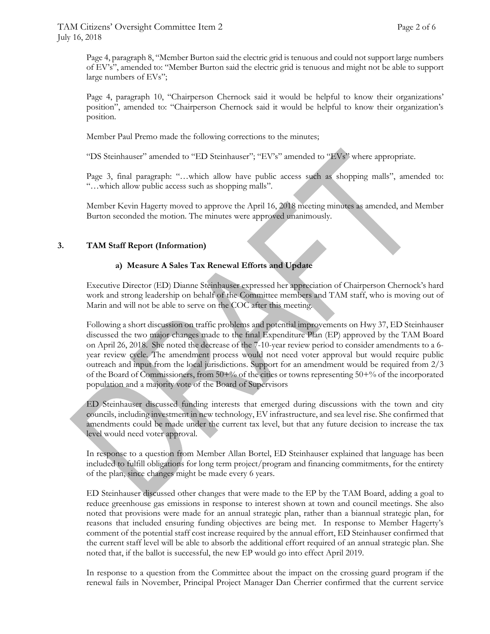Page 4, paragraph 8, "Member Burton said the electric grid is tenuous and could not support large numbers of EV's", amended to: "Member Burton said the electric grid is tenuous and might not be able to support large numbers of EVs";

Page 4, paragraph 10, "Chairperson Chernock said it would be helpful to know their organizations' position", amended to: "Chairperson Chernock said it would be helpful to know their organization's position.

Member Paul Premo made the following corrections to the minutes;

"DS Steinhauser" amended to "ED Steinhauser"; "EV's" amended to "EVs" where appropriate.

Page 3, final paragraph: "…which allow have public access such as shopping malls", amended to: "…which allow public access such as shopping malls".

Member Kevin Hagerty moved to approve the April 16, 2018 meeting minutes as amended, and Member Burton seconded the motion. The minutes were approved unanimously.

## **3. TAM Staff Report (Information)**

## **a) Measure A Sales Tax Renewal Efforts and Update**

Executive Director (ED) Dianne Steinhauser expressed her appreciation of Chairperson Chernock's hard work and strong leadership on behalf of the Committee members and TAM staff, who is moving out of Marin and will not be able to serve on the COC after this meeting.

Following a short discussion on traffic problems and potential improvements on Hwy 37, ED Steinhauser discussed the two major changes made to the final Expenditure Plan (EP) approved by the TAM Board on April 26, 2018. She noted the decrease of the 7-10-year review period to consider amendments to a 6 year review cycle. The amendment process would not need voter approval but would require public outreach and input from the local jurisdictions. Support for an amendment would be required from 2/3 of the Board of Commissioners, from 50+% of the cities or towns representing 50+% of the incorporated population and a majority vote of the Board of Supervisors

ED Steinhauser discussed funding interests that emerged during discussions with the town and city councils, including investment in new technology, EV infrastructure, and sea level rise. She confirmed that amendments could be made under the current tax level, but that any future decision to increase the tax level would need voter approval.

In response to a question from Member Allan Bortel, ED Steinhauser explained that language has been included to fulfill obligations for long term project/program and financing commitments, for the entirety of the plan, since changes might be made every 6 years.

ED Steinhauser discussed other changes that were made to the EP by the TAM Board, adding a goal to reduce greenhouse gas emissions in response to interest shown at town and council meetings. She also noted that provisions were made for an annual strategic plan, rather than a biannual strategic plan, for reasons that included ensuring funding objectives are being met. In response to Member Hagerty's comment of the potential staff cost increase required by the annual effort, ED Steinhauser confirmed that the current staff level will be able to absorb the additional effort required of an annual strategic plan. She noted that, if the ballot is successful, the new EP would go into effect April 2019.

In response to a question from the Committee about the impact on the crossing guard program if the renewal fails in November, Principal Project Manager Dan Cherrier confirmed that the current service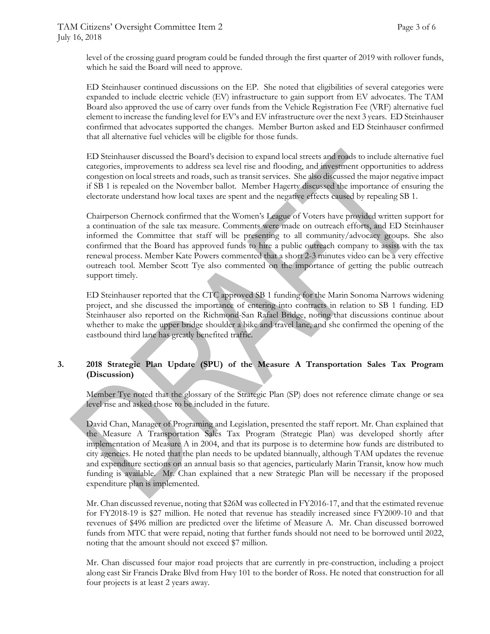level of the crossing guard program could be funded through the first quarter of 2019 with rollover funds, which he said the Board will need to approve.

ED Steinhauser continued discussions on the EP. She noted that eligibilities of several categories were expanded to include electric vehicle (EV) infrastructure to gain support from EV advocates. The TAM Board also approved the use of carry over funds from the Vehicle Registration Fee (VRF) alternative fuel element to increase the funding level for EV's and EV infrastructure over the next 3 years. ED Steinhauser confirmed that advocates supported the changes. Member Burton asked and ED Steinhauser confirmed that all alternative fuel vehicles will be eligible for those funds.

ED Steinhauser discussed the Board's decision to expand local streets and roads to include alternative fuel categories, improvements to address sea level rise and flooding, and investment opportunities to address congestion on local streets and roads, such as transit services. She also discussed the major negative impact if SB 1 is repealed on the November ballot. Member Hagerty discussed the importance of ensuring the electorate understand how local taxes are spent and the negative effects caused by repealing SB 1.

Chairperson Chernock confirmed that the Women's League of Voters have provided written support for a continuation of the sale tax measure. Comments were made on outreach efforts, and ED Steinhauser informed the Committee that staff will be presenting to all community/advocacy groups. She also confirmed that the Board has approved funds to hire a public outreach company to assist with the tax renewal process. Member Kate Powers commented that a short 2-3 minutes video can be a very effective outreach tool. Member Scott Tye also commented on the importance of getting the public outreach support timely.

ED Steinhauser reported that the CTC approved SB 1 funding for the Marin Sonoma Narrows widening project, and she discussed the importance of entering into contracts in relation to SB 1 funding. ED Steinhauser also reported on the Richmond-San Rafael Bridge, noting that discussions continue about whether to make the upper bridge shoulder a bike and travel lane, and she confirmed the opening of the eastbound third lane has greatly benefited traffic.

## **3. 2018 Strategic Plan Update (SPU) of the Measure A Transportation Sales Tax Program (Discussion)**

Member Tye noted that the glossary of the Strategic Plan (SP) does not reference climate change or sea level rise and asked those to be included in the future.

David Chan, Manager of Programing and Legislation, presented the staff report. Mr. Chan explained that the Measure A Transportation Sales Tax Program (Strategic Plan) was developed shortly after implementation of Measure A in 2004, and that its purpose is to determine how funds are distributed to city agencies. He noted that the plan needs to be updated biannually, although TAM updates the revenue and expenditure sections on an annual basis so that agencies, particularly Marin Transit, know how much funding is available. Mr. Chan explained that a new Strategic Plan will be necessary if the proposed expenditure plan is implemented.

Mr. Chan discussed revenue, noting that \$26M was collected in FY2016-17, and that the estimated revenue for FY2018-19 is \$27 million. He noted that revenue has steadily increased since FY2009-10 and that revenues of \$496 million are predicted over the lifetime of Measure A. Mr. Chan discussed borrowed funds from MTC that were repaid, noting that further funds should not need to be borrowed until 2022, noting that the amount should not exceed \$7 million.

Mr. Chan discussed four major road projects that are currently in pre-construction, including a project along east Sir Francis Drake Blvd from Hwy 101 to the border of Ross. He noted that construction for all four projects is at least 2 years away.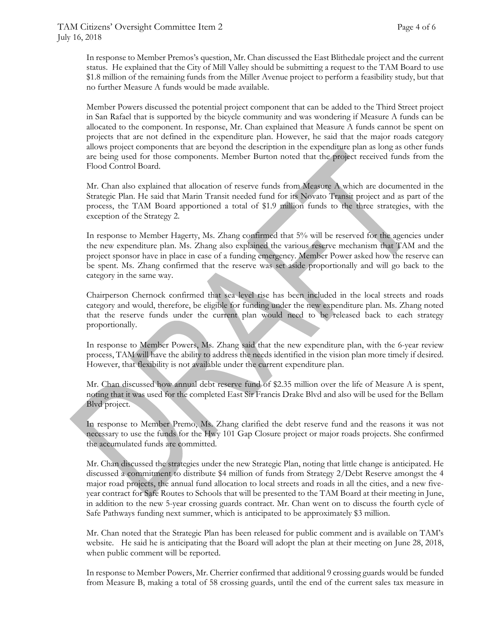In response to Member Premos's question, Mr. Chan discussed the East Blithedale project and the current status. He explained that the City of Mill Valley should be submitting a request to the TAM Board to use \$1.8 million of the remaining funds from the Miller Avenue project to perform a feasibility study, but that no further Measure A funds would be made available.

Member Powers discussed the potential project component that can be added to the Third Street project in San Rafael that is supported by the bicycle community and was wondering if Measure A funds can be allocated to the component. In response, Mr. Chan explained that Measure A funds cannot be spent on projects that are not defined in the expenditure plan. However, he said that the major roads category allows project components that are beyond the description in the expenditure plan as long as other funds are being used for those components. Member Burton noted that the project received funds from the Flood Control Board.

Mr. Chan also explained that allocation of reserve funds from Measure A which are documented in the Strategic Plan. He said that Marin Transit needed fund for its Novato Transit project and as part of the process, the TAM Board apportioned a total of \$1.9 million funds to the three strategies, with the exception of the Strategy 2.

In response to Member Hagerty, Ms. Zhang confirmed that 5% will be reserved for the agencies under the new expenditure plan. Ms. Zhang also explained the various reserve mechanism that TAM and the project sponsor have in place in case of a funding emergency. Member Power asked how the reserve can be spent. Ms. Zhang confirmed that the reserve was set aside proportionally and will go back to the category in the same way.

Chairperson Chernock confirmed that sea level rise has been included in the local streets and roads category and would, therefore, be eligible for funding under the new expenditure plan. Ms. Zhang noted that the reserve funds under the current plan would need to be released back to each strategy proportionally.

In response to Member Powers, Ms. Zhang said that the new expenditure plan, with the 6-year review process, TAM will have the ability to address the needs identified in the vision plan more timely if desired. However, that flexibility is not available under the current expenditure plan.

Mr. Chan discussed how annual debt reserve fund of \$2.35 million over the life of Measure A is spent, noting that it was used for the completed East Sir Francis Drake Blvd and also will be used for the Bellam Blvd project.

In response to Member Premo, Ms. Zhang clarified the debt reserve fund and the reasons it was not necessary to use the funds for the Hwy 101 Gap Closure project or major roads projects. She confirmed the accumulated funds are committed.

Mr. Chan discussed the strategies under the new Strategic Plan, noting that little change is anticipated. He discussed a commitment to distribute \$4 million of funds from Strategy 2/Debt Reserve amongst the 4 major road projects, the annual fund allocation to local streets and roads in all the cities, and a new fiveyear contract for Safe Routes to Schools that will be presented to the TAM Board at their meeting in June, in addition to the new 5-year crossing guards contract. Mr. Chan went on to discuss the fourth cycle of Safe Pathways funding next summer, which is anticipated to be approximately \$3 million.

Mr. Chan noted that the Strategic Plan has been released for public comment and is available on TAM's website. He said he is anticipating that the Board will adopt the plan at their meeting on June 28, 2018, when public comment will be reported.

In response to Member Powers, Mr. Cherrier confirmed that additional 9 crossing guards would be funded from Measure B, making a total of 58 crossing guards, until the end of the current sales tax measure in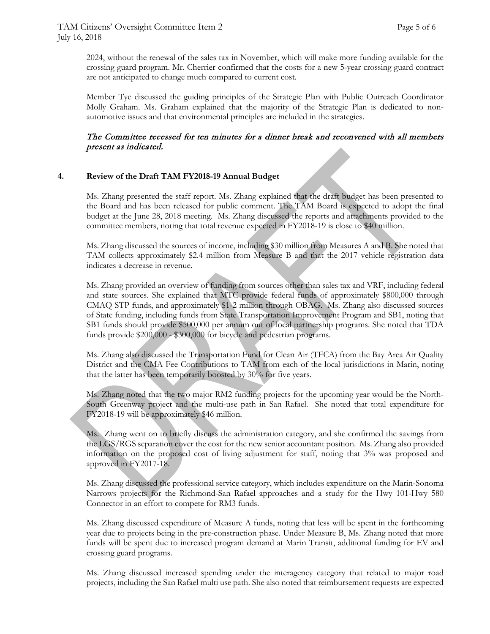2024, without the renewal of the sales tax in November, which will make more funding available for the crossing guard program. Mr. Cherrier confirmed that the costs for a new 5-year crossing guard contract are not anticipated to change much compared to current cost.

Member Tye discussed the guiding principles of the Strategic Plan with Public Outreach Coordinator Molly Graham. Ms. Graham explained that the majority of the Strategic Plan is dedicated to nonautomotive issues and that environmental principles are included in the strategies.

## The Committee recessed for ten minutes for a dinner break and reconvened with all members present as indicated.

## **4. Review of the Draft TAM FY2018-19 Annual Budget**

Ms. Zhang presented the staff report. Ms. Zhang explained that the draft budget has been presented to the Board and has been released for public comment. The TAM Board is expected to adopt the final budget at the June 28, 2018 meeting. Ms. Zhang discussed the reports and attachments provided to the committee members, noting that total revenue expected in FY2018-19 is close to \$40 million.

Ms. Zhang discussed the sources of income, including \$30 million from Measures A and B. She noted that TAM collects approximately \$2.4 million from Measure B and that the 2017 vehicle registration data indicates a decrease in revenue.

Ms. Zhang provided an overview of funding from sources other than sales tax and VRF, including federal and state sources. She explained that MTC provide federal funds of approximately \$800,000 through CMAQ STP funds, and approximately \$1-2 million through OBAG. Ms. Zhang also discussed sources of State funding, including funds from State Transportation Improvement Program and SB1, noting that SB1 funds should provide \$500,000 per annum out of local partnership programs. She noted that TDA funds provide \$200,000 - \$300,000 for bicycle and pedestrian programs.

Ms. Zhang also discussed the Transportation Fund for Clean Air (TFCA) from the Bay Area Air Quality District and the CMA Fee Contributions to TAM from each of the local jurisdictions in Marin, noting that the latter has been temporarily boosted by 30% for five years.

Ms. Zhang noted that the two major RM2 funding projects for the upcoming year would be the North-South Greenway project and the multi-use path in San Rafael. She noted that total expenditure for FY2018-19 will be approximately \$46 million.

Ms. Zhang went on to briefly discuss the administration category, and she confirmed the savings from the LGS/RGS separation cover the cost for the new senior accountant position. Ms. Zhang also provided information on the proposed cost of living adjustment for staff, noting that 3% was proposed and approved in FY2017-18.

Ms. Zhang discussed the professional service category, which includes expenditure on the Marin-Sonoma Narrows projects for the Richmond-San Rafael approaches and a study for the Hwy 101-Hwy 580 Connector in an effort to compete for RM3 funds.

Ms. Zhang discussed expenditure of Measure A funds, noting that less will be spent in the forthcoming year due to projects being in the pre-construction phase. Under Measure B, Ms. Zhang noted that more funds will be spent due to increased program demand at Marin Transit, additional funding for EV and crossing guard programs.

Ms. Zhang discussed increased spending under the interagency category that related to major road projects, including the San Rafael multi use path. She also noted that reimbursement requests are expected